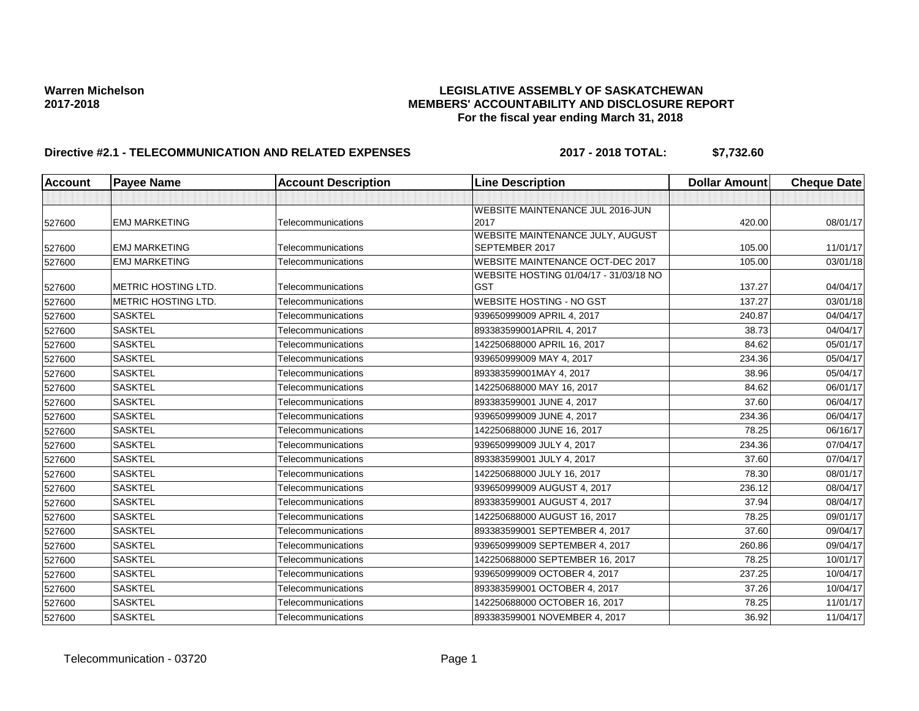## Warren Michelson **Michelson**<br>2017-2018 **LEGISLATIVE ASSEMBLY OF SASKATCHEWAN**<br>MEMBERS' ACCOUNTABILITY AND DISCLOSURE REF **2017-2018 MEMBERS' ACCOUNTABILITY AND DISCLOSURE REPORT For the fiscal year ending March 31, 2018**

# **Directive #2.1 - TELECOMMUNICATION AND RELATED EXPENSES 2017 - 2018 TOTAL: \$7,732.60**

| <b>Account</b> | <b>Payee Name</b>          | <b>Account Description</b>               | <b>Line Description</b>                              | <b>Dollar Amount</b> | <b>Cheque Date</b> |
|----------------|----------------------------|------------------------------------------|------------------------------------------------------|----------------------|--------------------|
|                |                            |                                          |                                                      |                      |                    |
|                |                            |                                          | WEBSITE MAINTENANCE JUL 2016-JUN                     |                      |                    |
| 527600         | <b>EMJ MARKETING</b>       | Telecommunications                       | 2017                                                 | 420.00               | 08/01/17           |
|                |                            |                                          | WEBSITE MAINTENANCE JULY, AUGUST                     |                      |                    |
| 527600         | <b>EMJ MARKETING</b>       | Telecommunications                       | SEPTEMBER 2017                                       | 105.00               | 11/01/17           |
| 527600         | <b>EMJ MARKETING</b>       | Telecommunications                       | WEBSITE MAINTENANCE OCT-DEC 2017                     | 105.00               | 03/01/18           |
| 527600         | METRIC HOSTING LTD.        | Telecommunications                       | WEBSITE HOSTING 01/04/17 - 31/03/18 NO<br><b>GST</b> | 137.27               | 04/04/17           |
|                | <b>METRIC HOSTING LTD.</b> |                                          | <b>WEBSITE HOSTING - NO GST</b>                      | 137.27               | 03/01/18           |
| 527600         | <b>SASKTEL</b>             | Telecommunications<br>Telecommunications | 939650999009 APRIL 4, 2017                           | 240.87               |                    |
| 527600         |                            |                                          |                                                      |                      | 04/04/17           |
| 527600         | <b>SASKTEL</b>             | Telecommunications                       | 893383599001APRIL 4, 2017                            | 38.73                | 04/04/17           |
| 527600         | <b>SASKTEL</b>             | Telecommunications                       | 142250688000 APRIL 16, 2017                          | 84.62                | 05/01/17           |
| 527600         | <b>SASKTEL</b>             | Telecommunications                       | 939650999009 MAY 4, 2017                             | 234.36               | 05/04/17           |
| 527600         | <b>SASKTEL</b>             | Telecommunications                       | 893383599001MAY 4, 2017                              | 38.96                | 05/04/17           |
| 527600         | <b>SASKTEL</b>             | Telecommunications                       | 142250688000 MAY 16, 2017                            | 84.62                | 06/01/17           |
| 527600         | <b>SASKTEL</b>             | Telecommunications                       | 893383599001 JUNE 4, 2017                            | 37.60                | 06/04/17           |
| 527600         | <b>SASKTEL</b>             | Telecommunications                       | 939650999009 JUNE 4, 2017                            | 234.36               | 06/04/17           |
| 527600         | <b>SASKTEL</b>             | Telecommunications                       | 142250688000 JUNE 16, 2017                           | 78.25                | 06/16/17           |
| 527600         | <b>SASKTEL</b>             | Telecommunications                       | 939650999009 JULY 4, 2017                            | 234.36               | 07/04/17           |
| 527600         | <b>SASKTEL</b>             | Telecommunications                       | 893383599001 JULY 4, 2017                            | 37.60                | 07/04/17           |
| 527600         | <b>SASKTEL</b>             | Telecommunications                       | 142250688000 JULY 16, 2017                           | 78.30                | 08/01/17           |
| 527600         | <b>SASKTEL</b>             | Telecommunications                       | 939650999009 AUGUST 4, 2017                          | 236.12               | 08/04/17           |
| 527600         | <b>SASKTEL</b>             | Telecommunications                       | 893383599001 AUGUST 4, 2017                          | 37.94                | 08/04/17           |
| 527600         | <b>SASKTEL</b>             | Telecommunications                       | 142250688000 AUGUST 16, 2017                         | 78.25                | 09/01/17           |
| 527600         | <b>SASKTEL</b>             | Telecommunications                       | 893383599001 SEPTEMBER 4, 2017                       | 37.60                | 09/04/17           |
| 527600         | <b>SASKTEL</b>             | Telecommunications                       | 939650999009 SEPTEMBER 4, 2017                       | 260.86               | 09/04/17           |
| 527600         | <b>SASKTEL</b>             | Telecommunications                       | 142250688000 SEPTEMBER 16, 2017                      | 78.25                | 10/01/17           |
| 527600         | <b>SASKTEL</b>             | Telecommunications                       | 939650999009 OCTOBER 4, 2017                         | 237.25               | 10/04/17           |
| 527600         | <b>SASKTEL</b>             | Telecommunications                       | 893383599001 OCTOBER 4, 2017                         | 37.26                | 10/04/17           |
| 527600         | <b>SASKTEL</b>             | Telecommunications                       | 142250688000 OCTOBER 16, 2017                        | 78.25                | 11/01/17           |
| 527600         | <b>SASKTEL</b>             | Telecommunications                       | 893383599001 NOVEMBER 4, 2017                        | 36.92                | 11/04/17           |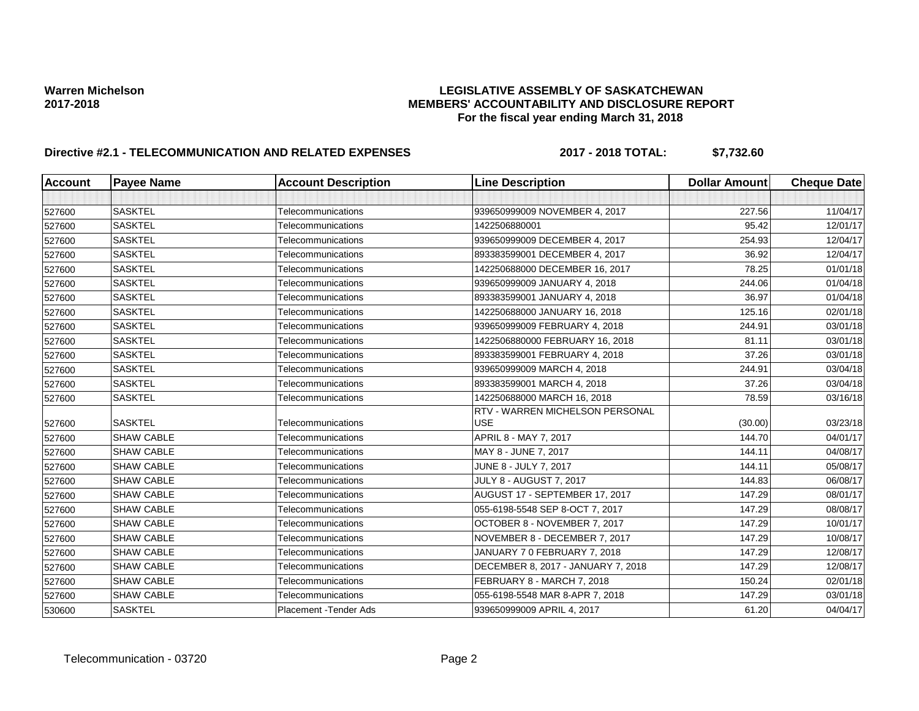### Warren Michelson **Michelson**<br>2017-2018 **LEGISLATIVE ASSEMBLY OF SASKATCHEWAN**<br>MEMBERS' ACCOUNTABILITY AND DISCLOSURE REF **2017-2018 MEMBERS' ACCOUNTABILITY AND DISCLOSURE REPORT For the fiscal year ending March 31, 2018**

# **Directive #2.1 - TELECOMMUNICATION AND RELATED EXPENSES 2017 - 2018 TOTAL: \$7,732.60**

| <b>Account</b> | <b>Payee Name</b> | <b>Account Description</b> | <b>Line Description</b>                | <b>Dollar Amount</b> | <b>Cheque Date</b> |
|----------------|-------------------|----------------------------|----------------------------------------|----------------------|--------------------|
|                |                   |                            |                                        |                      |                    |
| 527600         | <b>SASKTEL</b>    | Telecommunications         | 939650999009 NOVEMBER 4, 2017          | 227.56               | 11/04/17           |
| 527600         | <b>SASKTEL</b>    | Telecommunications         | 1422506880001                          | 95.42                | 12/01/17           |
| 527600         | <b>SASKTEL</b>    | Telecommunications         | 939650999009 DECEMBER 4, 2017          | 254.93               | 12/04/17           |
| 527600         | <b>SASKTEL</b>    | Telecommunications         | 893383599001 DECEMBER 4, 2017          | 36.92                | 12/04/17           |
| 527600         | <b>SASKTEL</b>    | Telecommunications         | 142250688000 DECEMBER 16, 2017         | 78.25                | 01/01/18           |
| 527600         | <b>SASKTEL</b>    | Telecommunications         | 939650999009 JANUARY 4, 2018           | 244.06               | 01/04/18           |
| 527600         | <b>SASKTEL</b>    | Telecommunications         | 893383599001 JANUARY 4, 2018           | 36.97                | 01/04/18           |
| 527600         | <b>SASKTEL</b>    | Telecommunications         | 142250688000 JANUARY 16, 2018          | 125.16               | 02/01/18           |
| 527600         | <b>SASKTEL</b>    | Telecommunications         | 939650999009 FEBRUARY 4, 2018          | 244.91               | 03/01/18           |
| 527600         | <b>SASKTEL</b>    | Telecommunications         | 1422506880000 FEBRUARY 16, 2018        | 81.11                | 03/01/18           |
| 527600         | <b>SASKTEL</b>    | Telecommunications         | 893383599001 FEBRUARY 4, 2018          | 37.26                | 03/01/18           |
| 527600         | <b>SASKTEL</b>    | Telecommunications         | 939650999009 MARCH 4, 2018             | 244.91               | 03/04/18           |
| 527600         | <b>SASKTEL</b>    | Telecommunications         | 893383599001 MARCH 4, 2018             | 37.26                | 03/04/18           |
| 527600         | <b>SASKTEL</b>    | Telecommunications         | 142250688000 MARCH 16, 2018            | 78.59                | 03/16/18           |
|                |                   |                            | <b>RTV - WARREN MICHELSON PERSONAL</b> |                      |                    |
| 527600         | <b>SASKTEL</b>    | Telecommunications         | <b>USE</b>                             | (30.00)              | 03/23/18           |
| 527600         | <b>SHAW CABLE</b> | Telecommunications         | APRIL 8 - MAY 7, 2017                  | 144.70               | 04/01/17           |
| 527600         | <b>SHAW CABLE</b> | Telecommunications         | MAY 8 - JUNE 7, 2017                   | 144.11               | 04/08/17           |
| 527600         | <b>SHAW CABLE</b> | Telecommunications         | JUNE 8 - JULY 7, 2017                  | 144.11               | 05/08/17           |
| 527600         | <b>SHAW CABLE</b> | Telecommunications         | <b>JULY 8 - AUGUST 7, 2017</b>         | 144.83               | 06/08/17           |
| 527600         | <b>SHAW CABLE</b> | Telecommunications         | AUGUST 17 - SEPTEMBER 17, 2017         | 147.29               | 08/01/17           |
| 527600         | <b>SHAW CABLE</b> | Telecommunications         | 055-6198-5548 SEP 8-OCT 7, 2017        | 147.29               | 08/08/17           |
| 527600         | <b>SHAW CABLE</b> | Telecommunications         | OCTOBER 8 - NOVEMBER 7, 2017           | 147.29               | 10/01/17           |
| 527600         | <b>SHAW CABLE</b> | Telecommunications         | NOVEMBER 8 - DECEMBER 7, 2017          | 147.29               | 10/08/17           |
| 527600         | <b>SHAW CABLE</b> | Telecommunications         | JANUARY 7 0 FEBRUARY 7, 2018           | 147.29               | 12/08/17           |
| 527600         | <b>SHAW CABLE</b> | Telecommunications         | DECEMBER 8, 2017 - JANUARY 7, 2018     | 147.29               | 12/08/17           |
| 527600         | <b>SHAW CABLE</b> | Telecommunications         | FEBRUARY 8 - MARCH 7, 2018             | 150.24               | 02/01/18           |
| 527600         | <b>SHAW CABLE</b> | Telecommunications         | 055-6198-5548 MAR 8-APR 7, 2018        | 147.29               | 03/01/18           |
| 530600         | <b>SASKTEL</b>    | Placement - Tender Ads     | 939650999009 APRIL 4, 2017             | 61.20                | 04/04/17           |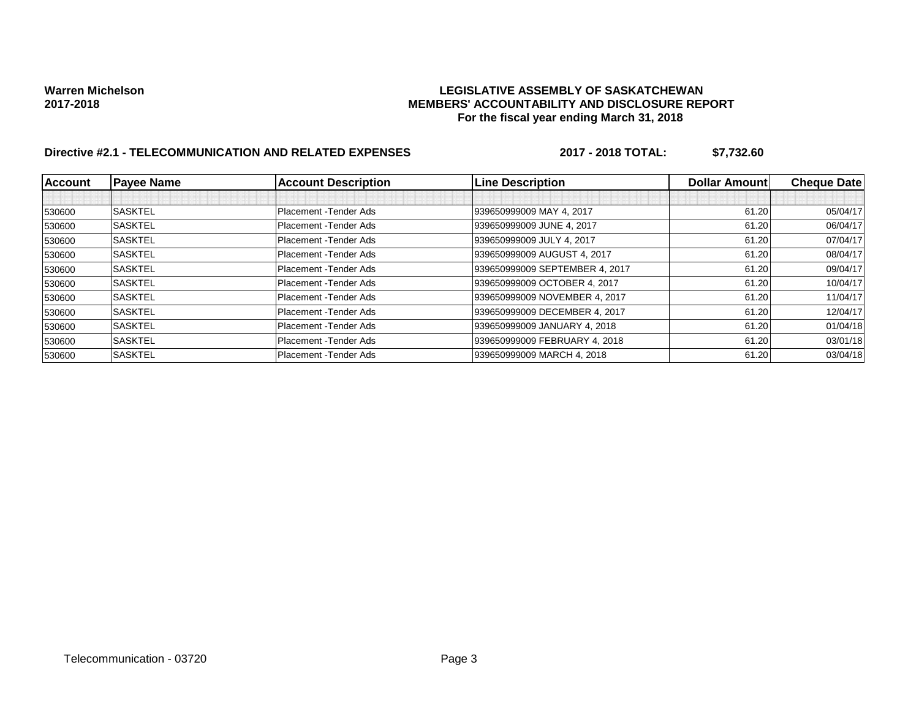### Warren Michelson **Michelson**<br>2017-2018 **LEGISLATIVE ASSEMBLY OF SASKATCHEWAN**<br>MEMBERS' ACCOUNTABILITY AND DISCLOSURE REF **2017-2018 MEMBERS' ACCOUNTABILITY AND DISCLOSURE REPORT For the fiscal year ending March 31, 2018**

# **Directive #2.1 - TELECOMMUNICATION AND RELATED EXPENSES 2017 - 2018 TOTAL: \$7,732.60**

| <b>Account</b> | <b>Payee Name</b> | <b>Account Description</b> | <b>Line Description</b>        | Dollar Amount | <b>Cheque Date</b> |
|----------------|-------------------|----------------------------|--------------------------------|---------------|--------------------|
|                |                   |                            |                                |               |                    |
| 530600         | <b>SASKTEL</b>    | Placement - Tender Ads     | 939650999009 MAY 4, 2017       | 61.20         | 05/04/17           |
| 530600         | <b>SASKTEL</b>    | Placement - Tender Ads     | 939650999009 JUNE 4, 2017      | 61.20         | 06/04/17           |
| 530600         | <b>SASKTEL</b>    | Placement - Tender Ads     | 939650999009 JULY 4, 2017      | 61.20         | 07/04/17           |
| 530600         | <b>SASKTEL</b>    | Placement - Tender Ads     | 939650999009 AUGUST 4, 2017    | 61.20         | 08/04/17           |
| 530600         | <b>SASKTEL</b>    | Placement - Tender Ads     | 939650999009 SEPTEMBER 4, 2017 | 61.20         | 09/04/17           |
| 530600         | <b>SASKTEL</b>    | Placement - Tender Ads     | 939650999009 OCTOBER 4, 2017   | 61.20         | 10/04/17           |
| 530600         | <b>SASKTEL</b>    | Placement - Tender Ads     | 939650999009 NOVEMBER 4, 2017  | 61.20         | 11/04/17           |
| 530600         | <b>SASKTEL</b>    | Placement - Tender Ads     | 939650999009 DECEMBER 4, 2017  | 61.20         | 12/04/17           |
| 530600         | <b>SASKTEL</b>    | Placement - Tender Ads     | 939650999009 JANUARY 4, 2018   | 61.20         | 01/04/18           |
| 530600         | <b>SASKTEL</b>    | Placement - Tender Ads     | 939650999009 FEBRUARY 4, 2018  | 61.20         | 03/01/18           |
| 530600         | <b>SASKTEL</b>    | Placement - Tender Ads     | 939650999009 MARCH 4, 2018     | 61.20         | 03/04/18           |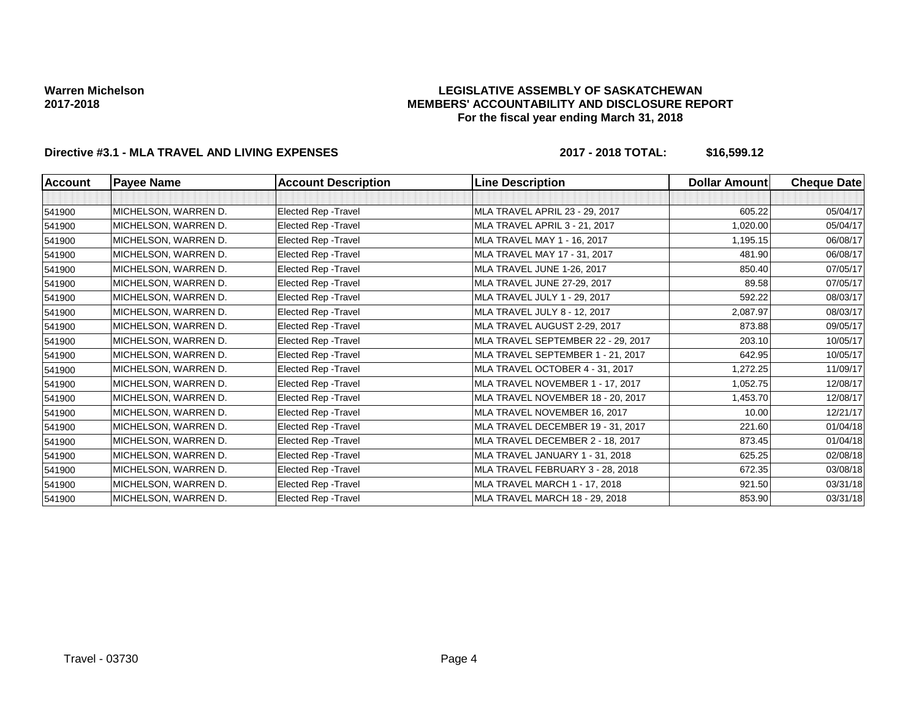### **LEGISLATIVE ASSEMBLY OF SASKATCHEWAN MEMBERS' ACCOUNTABILITY AND DISCLOSURE REPORT For the fiscal year ending March 31, 2018**

## **Directive #3.1 - MLA TRAVEL AND LIVING EXPENSES 2017 - 2018 TOTAL: \$16,599.12**

| <b>Account</b> | <b>Payee Name</b>    | <b>Account Description</b> | <b>Line Description</b>            | <b>Dollar Amount</b> | <b>Cheque Date</b> |
|----------------|----------------------|----------------------------|------------------------------------|----------------------|--------------------|
|                |                      |                            |                                    |                      |                    |
| 541900         | MICHELSON, WARREN D. | Elected Rep - Travel       | MLA TRAVEL APRIL 23 - 29, 2017     | 605.22               | 05/04/17           |
| 541900         | MICHELSON, WARREN D. | Elected Rep - Travel       | MLA TRAVEL APRIL 3 - 21, 2017      | 1,020.00             | 05/04/17           |
| 541900         | MICHELSON, WARREN D. | Elected Rep - Travel       | MLA TRAVEL MAY 1 - 16, 2017        | 1,195.15             | 06/08/17           |
| 541900         | MICHELSON, WARREN D. | Elected Rep - Travel       | MLA TRAVEL MAY 17 - 31, 2017       | 481.90               | 06/08/17           |
| 541900         | MICHELSON, WARREN D. | Elected Rep - Travel       | MLA TRAVEL JUNE 1-26, 2017         | 850.40               | 07/05/17           |
| 541900         | MICHELSON, WARREN D. | Elected Rep - Travel       | MLA TRAVEL JUNE 27-29, 2017        | 89.58                | 07/05/17           |
| 541900         | MICHELSON, WARREN D. | Elected Rep - Travel       | MLA TRAVEL JULY 1 - 29, 2017       | 592.22               | 08/03/17           |
| 541900         | MICHELSON, WARREN D. | Elected Rep - Travel       | MLA TRAVEL JULY 8 - 12, 2017       | 2,087.97             | 08/03/17           |
| 541900         | MICHELSON, WARREN D. | Elected Rep - Travel       | MLA TRAVEL AUGUST 2-29, 2017       | 873.88               | 09/05/17           |
| 541900         | MICHELSON, WARREN D. | Elected Rep - Travel       | MLA TRAVEL SEPTEMBER 22 - 29, 2017 | 203.10               | 10/05/17           |
| 541900         | MICHELSON, WARREN D. | Elected Rep - Travel       | MLA TRAVEL SEPTEMBER 1 - 21, 2017  | 642.95               | 10/05/17           |
| 541900         | MICHELSON, WARREN D. | Elected Rep - Travel       | MLA TRAVEL OCTOBER 4 - 31, 2017    | 1,272.25             | 11/09/17           |
| 541900         | MICHELSON, WARREN D. | Elected Rep - Travel       | MLA TRAVEL NOVEMBER 1 - 17, 2017   | 1,052.75             | 12/08/17           |
| 541900         | MICHELSON, WARREN D. | Elected Rep - Travel       | MLA TRAVEL NOVEMBER 18 - 20, 2017  | 1,453.70             | 12/08/17           |
| 541900         | MICHELSON, WARREN D. | Elected Rep - Travel       | MLA TRAVEL NOVEMBER 16, 2017       | 10.00                | 12/21/17           |
| 541900         | MICHELSON, WARREN D. | Elected Rep - Travel       | MLA TRAVEL DECEMBER 19 - 31, 2017  | 221.60               | 01/04/18           |
| 541900         | MICHELSON, WARREN D. | Elected Rep - Travel       | MLA TRAVEL DECEMBER 2 - 18, 2017   | 873.45               | 01/04/18           |
| 541900         | MICHELSON, WARREN D. | Elected Rep - Travel       | MLA TRAVEL JANUARY 1 - 31, 2018    | 625.25               | 02/08/18           |
| 541900         | MICHELSON, WARREN D. | Elected Rep - Travel       | MLA TRAVEL FEBRUARY 3 - 28, 2018   | 672.35               | 03/08/18           |
| 541900         | MICHELSON, WARREN D. | Elected Rep - Travel       | MLA TRAVEL MARCH 1 - 17, 2018      | 921.50               | 03/31/18           |
| 541900         | MICHELSON, WARREN D. | Elected Rep - Travel       | MLA TRAVEL MARCH 18 - 29, 2018     | 853.90               | 03/31/18           |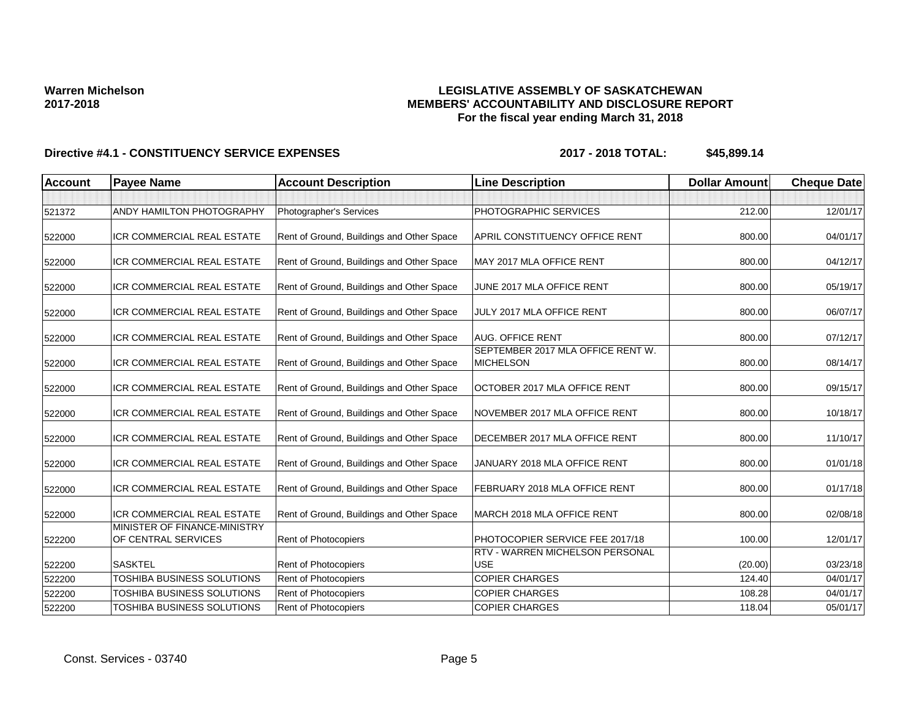### **LEGISLATIVE ASSEMBLY OF SASKATCHEWAN MEMBERS' ACCOUNTABILITY AND DISCLOSURE REPORT For the fiscal year ending March 31, 2018**

| <b>Account</b>   | <b>Payee Name</b>                                   | <b>Account Description</b>                                 | <b>Line Description</b>                               | <b>Dollar Amount</b> | <b>Cheque Date</b>   |
|------------------|-----------------------------------------------------|------------------------------------------------------------|-------------------------------------------------------|----------------------|----------------------|
|                  |                                                     |                                                            |                                                       |                      |                      |
| 521372           | ANDY HAMILTON PHOTOGRAPHY                           | Photographer's Services                                    | PHOTOGRAPHIC SERVICES                                 | 212.00               | 12/01/17             |
| 522000           | ICR COMMERCIAL REAL ESTATE                          | Rent of Ground, Buildings and Other Space                  | APRIL CONSTITUENCY OFFICE RENT                        | 800.00               | 04/01/17             |
| 522000           | <b>ICR COMMERCIAL REAL ESTATE</b>                   | Rent of Ground, Buildings and Other Space                  | MAY 2017 MLA OFFICE RENT                              | 800.00               | 04/12/17             |
| 522000           | ICR COMMERCIAL REAL ESTATE                          | Rent of Ground, Buildings and Other Space                  | JUNE 2017 MLA OFFICE RENT                             | 800.00               | 05/19/17             |
| 522000           | <b>ICR COMMERCIAL REAL ESTATE</b>                   | Rent of Ground, Buildings and Other Space                  | JULY 2017 MLA OFFICE RENT                             | 800.00               | 06/07/17             |
| 522000           | ICR COMMERCIAL REAL ESTATE                          | Rent of Ground, Buildings and Other Space                  | <b>AUG. OFFICE RENT</b>                               | 800.00               | 07/12/17             |
| 522000           | <b>ICR COMMERCIAL REAL ESTATE</b>                   | Rent of Ground, Buildings and Other Space                  | SEPTEMBER 2017 MLA OFFICE RENT W.<br><b>MICHELSON</b> | 800.00               | 08/14/17             |
| 522000           | ICR COMMERCIAL REAL ESTATE                          | Rent of Ground, Buildings and Other Space                  | OCTOBER 2017 MLA OFFICE RENT                          | 800.00               | 09/15/17             |
| 522000           | ICR COMMERCIAL REAL ESTATE                          | Rent of Ground, Buildings and Other Space                  | NOVEMBER 2017 MLA OFFICE RENT                         | 800.00               | 10/18/17             |
| 522000           | ICR COMMERCIAL REAL ESTATE                          | Rent of Ground, Buildings and Other Space                  | DECEMBER 2017 MLA OFFICE RENT                         | 800.00               | 11/10/17             |
| 522000           | ICR COMMERCIAL REAL ESTATE                          | Rent of Ground, Buildings and Other Space                  | JANUARY 2018 MLA OFFICE RENT                          | 800.00               | 01/01/18             |
| 522000           | ICR COMMERCIAL REAL ESTATE                          | Rent of Ground, Buildings and Other Space                  | FEBRUARY 2018 MLA OFFICE RENT                         | 800.00               | 01/17/18             |
| 522000           | <b>ICR COMMERCIAL REAL ESTATE</b>                   | Rent of Ground, Buildings and Other Space                  | MARCH 2018 MLA OFFICE RENT                            | 800.00               | 02/08/18             |
| 522200           | MINISTER OF FINANCE-MINISTRY<br>OF CENTRAL SERVICES | <b>Rent of Photocopiers</b>                                | PHOTOCOPIER SERVICE FEE 2017/18                       | 100.00               | 12/01/17             |
|                  |                                                     |                                                            | <b>RTV - WARREN MICHELSON PERSONAL</b>                |                      |                      |
| 522200<br>522200 | <b>SASKTEL</b><br>TOSHIBA BUSINESS SOLUTIONS        | <b>Rent of Photocopiers</b><br><b>Rent of Photocopiers</b> | <b>USE</b><br><b>COPIER CHARGES</b>                   | (20.00)<br>124.40    | 03/23/18<br>04/01/17 |
| 522200           | TOSHIBA BUSINESS SOLUTIONS                          | Rent of Photocopiers                                       | <b>COPIER CHARGES</b>                                 | 108.28               | 04/01/17             |
| 522200           | TOSHIBA BUSINESS SOLUTIONS                          | Rent of Photocopiers                                       | <b>COPIER CHARGES</b>                                 | 118.04               | 05/01/17             |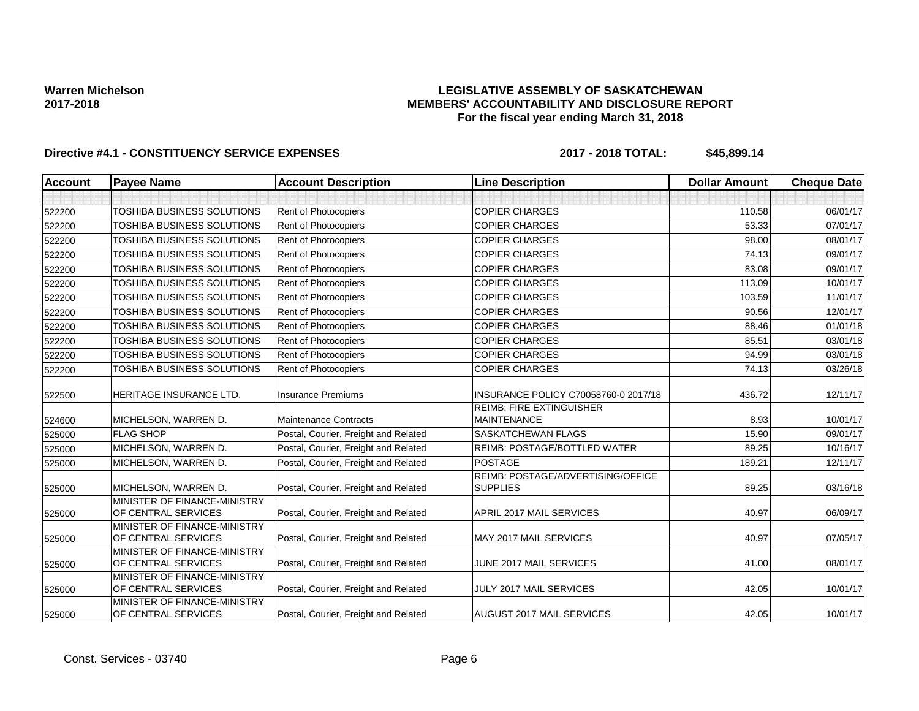### **LEGISLATIVE ASSEMBLY OF SASKATCHEWAN MEMBERS' ACCOUNTABILITY AND DISCLOSURE REPORT For the fiscal year ending March 31, 2018**

| Account | <b>Payee Name</b>                                   | <b>Account Description</b>           | <b>Line Description</b>                               | <b>Dollar Amount</b> | <b>Cheque Date</b> |
|---------|-----------------------------------------------------|--------------------------------------|-------------------------------------------------------|----------------------|--------------------|
|         |                                                     |                                      |                                                       |                      |                    |
| 522200  | TOSHIBA BUSINESS SOLUTIONS                          | Rent of Photocopiers                 | <b>COPIER CHARGES</b>                                 | 110.58               | 06/01/17           |
| 522200  | TOSHIBA BUSINESS SOLUTIONS                          | <b>Rent of Photocopiers</b>          | <b>COPIER CHARGES</b>                                 | 53.33                | 07/01/17           |
| 522200  | TOSHIBA BUSINESS SOLUTIONS                          | Rent of Photocopiers                 | <b>COPIER CHARGES</b>                                 | 98.00                | 08/01/17           |
| 522200  | TOSHIBA BUSINESS SOLUTIONS                          | Rent of Photocopiers                 | <b>COPIER CHARGES</b>                                 | 74.13                | 09/01/17           |
| 522200  | TOSHIBA BUSINESS SOLUTIONS                          | Rent of Photocopiers                 | <b>COPIER CHARGES</b>                                 | 83.08                | 09/01/17           |
| 522200  | TOSHIBA BUSINESS SOLUTIONS                          | Rent of Photocopiers                 | <b>COPIER CHARGES</b>                                 | 113.09               | 10/01/17           |
| 522200  | TOSHIBA BUSINESS SOLUTIONS                          | Rent of Photocopiers                 | <b>COPIER CHARGES</b>                                 | 103.59               | 11/01/17           |
| 522200  | TOSHIBA BUSINESS SOLUTIONS                          | Rent of Photocopiers                 | <b>COPIER CHARGES</b>                                 | 90.56                | 12/01/17           |
| 522200  | TOSHIBA BUSINESS SOLUTIONS                          | Rent of Photocopiers                 | <b>COPIER CHARGES</b>                                 | 88.46                | 01/01/18           |
| 522200  | TOSHIBA BUSINESS SOLUTIONS                          | Rent of Photocopiers                 | <b>COPIER CHARGES</b>                                 | 85.51                | 03/01/18           |
| 522200  | TOSHIBA BUSINESS SOLUTIONS                          | Rent of Photocopiers                 | <b>COPIER CHARGES</b>                                 | 94.99                | 03/01/18           |
| 522200  | TOSHIBA BUSINESS SOLUTIONS                          | <b>Rent of Photocopiers</b>          | <b>COPIER CHARGES</b>                                 | 74.13                | 03/26/18           |
| 522500  | HERITAGE INSURANCE LTD.                             | <b>Insurance Premiums</b>            | INSURANCE POLICY C70058760-0 2017/18                  | 436.72               | 12/11/17           |
|         | MICHELSON, WARREN D.                                | <b>Maintenance Contracts</b>         | <b>REIMB: FIRE EXTINGUISHER</b><br><b>MAINTENANCE</b> | 8.93                 | 10/01/17           |
| 524600  | <b>FLAG SHOP</b>                                    | Postal, Courier, Freight and Related | SASKATCHEWAN FLAGS                                    | 15.90                | 09/01/17           |
| 525000  | MICHELSON, WARREN D.                                | Postal, Courier, Freight and Related | REIMB: POSTAGE/BOTTLED WATER                          | 89.25                | 10/16/17           |
| 525000  |                                                     |                                      | <b>POSTAGE</b>                                        | 189.21               | 12/11/17           |
| 525000  | MICHELSON, WARREN D.                                | Postal, Courier, Freight and Related | REIMB: POSTAGE/ADVERTISING/OFFICE                     |                      |                    |
| 525000  | MICHELSON, WARREN D.                                | Postal, Courier, Freight and Related | <b>SUPPLIES</b>                                       | 89.25                | 03/16/18           |
| 525000  | MINISTER OF FINANCE-MINISTRY<br>OF CENTRAL SERVICES | Postal, Courier, Freight and Related | APRIL 2017 MAIL SERVICES                              | 40.97                | 06/09/17           |
| 525000  | MINISTER OF FINANCE-MINISTRY<br>OF CENTRAL SERVICES | Postal, Courier, Freight and Related | MAY 2017 MAIL SERVICES                                | 40.97                | 07/05/17           |
| 525000  | MINISTER OF FINANCE-MINISTRY<br>OF CENTRAL SERVICES | Postal, Courier, Freight and Related | JUNE 2017 MAIL SERVICES                               | 41.00                | 08/01/17           |
| 525000  | MINISTER OF FINANCE-MINISTRY<br>OF CENTRAL SERVICES | Postal, Courier, Freight and Related | <b>JULY 2017 MAIL SERVICES</b>                        | 42.05                | 10/01/17           |
| 525000  | MINISTER OF FINANCE-MINISTRY<br>OF CENTRAL SERVICES | Postal, Courier, Freight and Related | <b>AUGUST 2017 MAIL SERVICES</b>                      | 42.05                | 10/01/17           |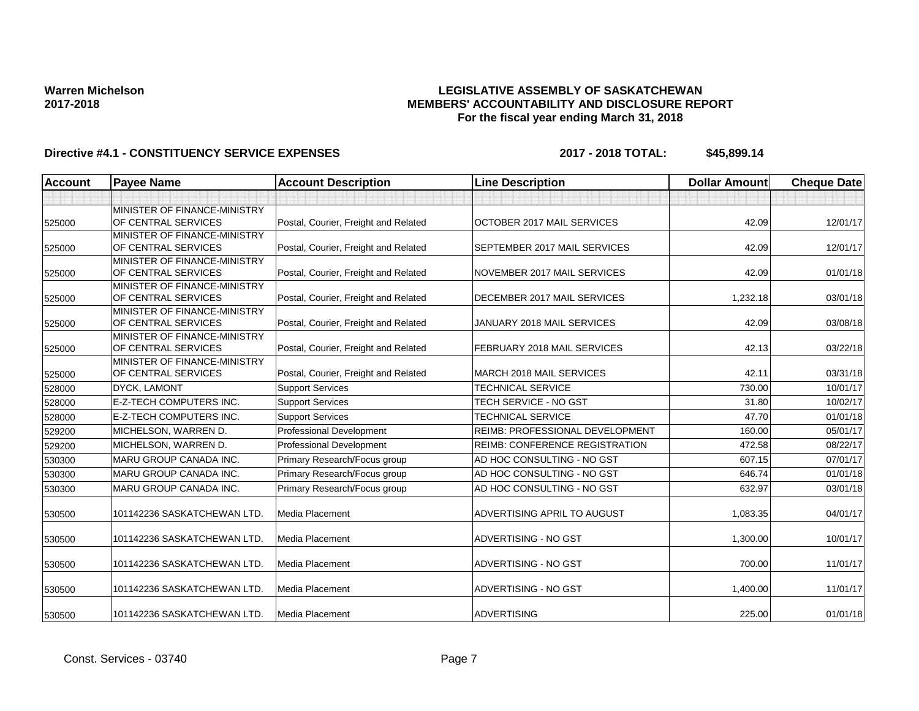### **LEGISLATIVE ASSEMBLY OF SASKATCHEWAN MEMBERS' ACCOUNTABILITY AND DISCLOSURE REPORT For the fiscal year ending March 31, 2018**

| <b>Account</b> | <b>Payee Name</b>                                   | <b>Account Description</b>           | <b>Line Description</b>                | <b>Dollar Amount</b> | <b>Cheque Date</b> |
|----------------|-----------------------------------------------------|--------------------------------------|----------------------------------------|----------------------|--------------------|
|                |                                                     |                                      |                                        |                      |                    |
| 525000         | MINISTER OF FINANCE-MINISTRY<br>OF CENTRAL SERVICES | Postal, Courier, Freight and Related | OCTOBER 2017 MAIL SERVICES             | 42.09                | 12/01/17           |
| 525000         | MINISTER OF FINANCE-MINISTRY<br>OF CENTRAL SERVICES | Postal, Courier, Freight and Related | SEPTEMBER 2017 MAIL SERVICES           | 42.09                | 12/01/17           |
| 525000         | MINISTER OF FINANCE-MINISTRY<br>OF CENTRAL SERVICES | Postal, Courier, Freight and Related | NOVEMBER 2017 MAIL SERVICES            | 42.09                | 01/01/18           |
| 525000         | MINISTER OF FINANCE-MINISTRY<br>OF CENTRAL SERVICES | Postal, Courier, Freight and Related | DECEMBER 2017 MAIL SERVICES            | 1,232.18             | 03/01/18           |
| 525000         | MINISTER OF FINANCE-MINISTRY<br>OF CENTRAL SERVICES | Postal, Courier, Freight and Related | JANUARY 2018 MAIL SERVICES             | 42.09                | 03/08/18           |
| 525000         | MINISTER OF FINANCE-MINISTRY<br>OF CENTRAL SERVICES | Postal, Courier, Freight and Related | FEBRUARY 2018 MAIL SERVICES            | 42.13                | 03/22/18           |
| 525000         | MINISTER OF FINANCE-MINISTRY<br>OF CENTRAL SERVICES | Postal, Courier, Freight and Related | MARCH 2018 MAIL SERVICES               | 42.11                | 03/31/18           |
| 528000         | <b>DYCK, LAMONT</b>                                 | <b>Support Services</b>              | <b>TECHNICAL SERVICE</b>               | 730.00               | 10/01/17           |
| 528000         | <b>E-Z-TECH COMPUTERS INC.</b>                      | <b>Support Services</b>              | <b>TECH SERVICE - NO GST</b>           | 31.80                | 10/02/17           |
| 528000         | <b>E-Z-TECH COMPUTERS INC.</b>                      | <b>Support Services</b>              | <b>TECHNICAL SERVICE</b>               | 47.70                | 01/01/18           |
| 529200         | <b>MICHELSON, WARREN D.</b>                         | Professional Development             | <b>REIMB: PROFESSIONAL DEVELOPMENT</b> | 160.00               | 05/01/17           |
| 529200         | MICHELSON. WARREN D.                                | Professional Development             | <b>REIMB: CONFERENCE REGISTRATION</b>  | 472.58               | 08/22/17           |
| 530300         | <b>MARU GROUP CANADA INC.</b>                       | Primary Research/Focus group         | AD HOC CONSULTING - NO GST             | 607.15               | 07/01/17           |
| 530300         | <b>MARU GROUP CANADA INC.</b>                       | Primary Research/Focus group         | AD HOC CONSULTING - NO GST             | 646.74               | 01/01/18           |
| 530300         | <b>MARU GROUP CANADA INC.</b>                       | Primary Research/Focus group         | AD HOC CONSULTING - NO GST             | 632.97               | 03/01/18           |
| 530500         | 101142236 SASKATCHEWAN LTD.                         | Media Placement                      | ADVERTISING APRIL TO AUGUST            | 1,083.35             | 04/01/17           |
| 530500         | 101142236 SASKATCHEWAN LTD.                         | Media Placement                      | ADVERTISING - NO GST                   | 1,300.00             | 10/01/17           |
| 530500         | 101142236 SASKATCHEWAN LTD.                         | Media Placement                      | ADVERTISING - NO GST                   | 700.00               | 11/01/17           |
| 530500         | 101142236 SASKATCHEWAN LTD.                         | Media Placement                      | ADVERTISING - NO GST                   | 1,400.00             | 11/01/17           |
| 530500         | 101142236 SASKATCHEWAN LTD.                         | Media Placement                      | <b>ADVERTISING</b>                     | 225.00               | 01/01/18           |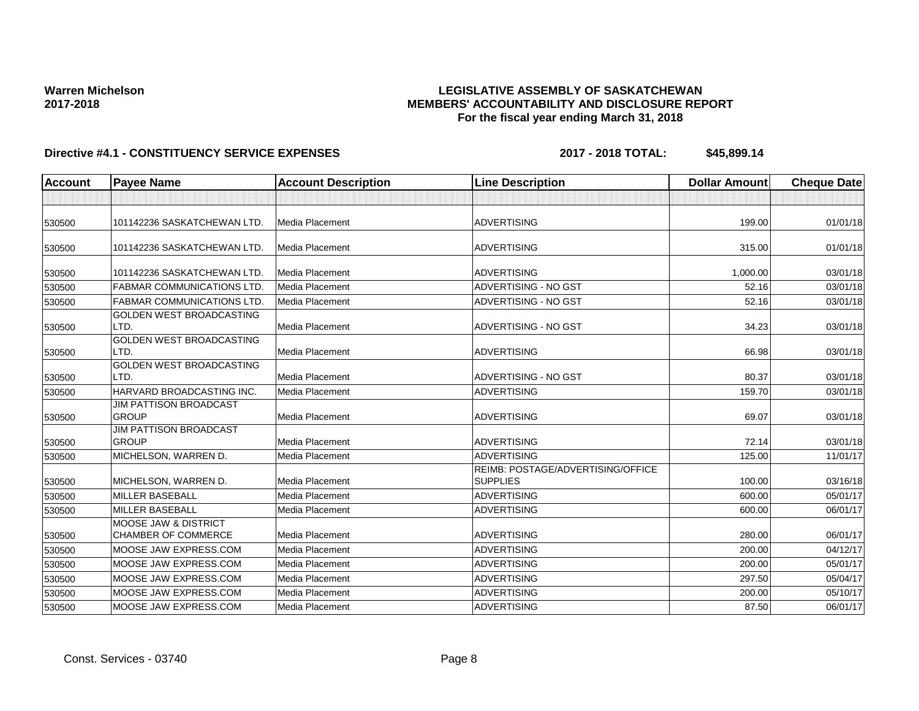### **LEGISLATIVE ASSEMBLY OF SASKATCHEWAN MEMBERS' ACCOUNTABILITY AND DISCLOSURE REPORT For the fiscal year ending March 31, 2018**

| <b>Account</b> | <b>Payee Name</b>                             | <b>Account Description</b> | <b>Line Description</b>                              | <b>Dollar Amount</b> | <b>Cheque Date</b> |
|----------------|-----------------------------------------------|----------------------------|------------------------------------------------------|----------------------|--------------------|
|                |                                               |                            |                                                      |                      |                    |
| 530500         | 101142236 SASKATCHEWAN LTD.                   | <b>Media Placement</b>     | <b>ADVERTISING</b>                                   | 199.00               | 01/01/18           |
| 530500         | 101142236 SASKATCHEWAN LTD.                   | <b>Media Placement</b>     | <b>ADVERTISING</b>                                   | 315.00               | 01/01/18           |
| 530500         | 101142236 SASKATCHEWAN LTD.                   | Media Placement            | <b>ADVERTISING</b>                                   | 1.000.00             | 03/01/18           |
| 530500         | <b>FABMAR COMMUNICATIONS LTD</b>              | <b>Media Placement</b>     | ADVERTISING - NO GST                                 | 52.16                | 03/01/18           |
| 530500         | <b>FABMAR COMMUNICATIONS LTD</b>              | Media Placement            | ADVERTISING - NO GST                                 | 52.16                | 03/01/18           |
| 530500         | <b>GOLDEN WEST BROADCASTING</b><br>LTD.       | Media Placement            | ADVERTISING - NO GST                                 | 34.23                | 03/01/18           |
| 530500         | <b>GOLDEN WEST BROADCASTING</b><br>LTD.       | <b>Media Placement</b>     | <b>ADVERTISING</b>                                   | 66.98                | 03/01/18           |
| 530500         | <b>GOLDEN WEST BROADCASTING</b><br>LTD.       | Media Placement            | ADVERTISING - NO GST                                 | 80.37                | 03/01/18           |
| 530500         | HARVARD BROADCASTING INC.                     | Media Placement            | <b>ADVERTISING</b>                                   | 159.70               | 03/01/18           |
| 530500         | <b>JIM PATTISON BROADCAST</b><br><b>GROUP</b> | <b>Media Placement</b>     | <b>ADVERTISING</b>                                   | 69.07                | 03/01/18           |
| 530500         | <b>JIM PATTISON BROADCAST</b><br><b>GROUP</b> | Media Placement            | <b>ADVERTISING</b>                                   | 72.14                | 03/01/18           |
| 530500         | MICHELSON, WARREN D.                          | Media Placement            | <b>ADVERTISING</b>                                   | 125.00               | 11/01/17           |
| 530500         | MICHELSON, WARREN D.                          | Media Placement            | REIMB: POSTAGE/ADVERTISING/OFFICE<br><b>SUPPLIES</b> | 100.00               | 03/16/18           |
| 530500         | MILLER BASEBALL                               | Media Placement            | <b>ADVERTISING</b>                                   | 600.00               | 05/01/17           |
| 530500         | <b>MILLER BASEBALL</b>                        | Media Placement            | <b>ADVERTISING</b>                                   | 600.00               | 06/01/17           |
|                | <b>MOOSE JAW &amp; DISTRICT</b>               |                            |                                                      |                      |                    |
| 530500         | <b>CHAMBER OF COMMERCE</b>                    | Media Placement            | <b>ADVERTISING</b>                                   | 280.00               | 06/01/17           |
| 530500         | MOOSE JAW EXPRESS.COM                         | Media Placement            | <b>ADVERTISING</b>                                   | 200.00               | 04/12/17           |
| 530500         | MOOSE JAW EXPRESS.COM                         | Media Placement            | <b>ADVERTISING</b>                                   | 200.00               | 05/01/17           |
| 530500         | MOOSE JAW EXPRESS.COM                         | Media Placement            | <b>ADVERTISING</b>                                   | 297.50               | 05/04/17           |
| 530500         | MOOSE JAW EXPRESS.COM                         | Media Placement            | <b>ADVERTISING</b>                                   | 200.00               | 05/10/17           |
| 530500         | MOOSE JAW EXPRESS.COM                         | Media Placement            | <b>ADVERTISING</b>                                   | 87.50                | 06/01/17           |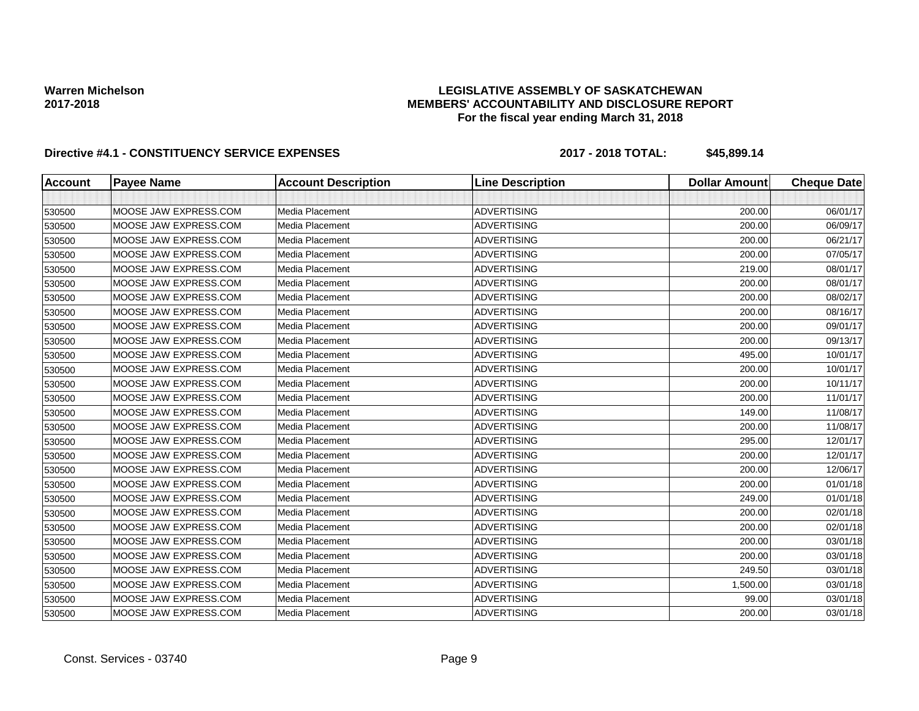### **LEGISLATIVE ASSEMBLY OF SASKATCHEWAN MEMBERS' ACCOUNTABILITY AND DISCLOSURE REPORT For the fiscal year ending March 31, 2018**

| <b>Account</b> | <b>Payee Name</b>     | <b>Account Description</b> | <b>Line Description</b> | <b>Dollar Amount</b> | <b>Cheque Date</b> |
|----------------|-----------------------|----------------------------|-------------------------|----------------------|--------------------|
|                |                       |                            |                         |                      |                    |
| 530500         | MOOSE JAW EXPRESS.COM | Media Placement            | <b>ADVERTISING</b>      | 200.00               | 06/01/17           |
| 530500         | MOOSE JAW EXPRESS.COM | Media Placement            | <b>ADVERTISING</b>      | 200.00               | 06/09/17           |
| 530500         | MOOSE JAW EXPRESS.COM | Media Placement            | <b>ADVERTISING</b>      | 200.00               | 06/21/17           |
| 530500         | MOOSE JAW EXPRESS.COM | Media Placement            | <b>ADVERTISING</b>      | 200.00               | 07/05/17           |
| 530500         | MOOSE JAW EXPRESS.COM | Media Placement            | <b>ADVERTISING</b>      | 219.00               | 08/01/17           |
| 530500         | MOOSE JAW EXPRESS.COM | Media Placement            | <b>ADVERTISING</b>      | 200.00               | 08/01/17           |
| 530500         | MOOSE JAW EXPRESS.COM | Media Placement            | <b>ADVERTISING</b>      | 200.00               | 08/02/17           |
| 530500         | MOOSE JAW EXPRESS.COM | Media Placement            | <b>ADVERTISING</b>      | 200.00               | 08/16/17           |
| 530500         | MOOSE JAW EXPRESS.COM | Media Placement            | <b>ADVERTISING</b>      | 200.00               | 09/01/17           |
| 530500         | MOOSE JAW EXPRESS.COM | Media Placement            | <b>ADVERTISING</b>      | 200.00               | 09/13/17           |
| 530500         | MOOSE JAW EXPRESS.COM | Media Placement            | <b>ADVERTISING</b>      | 495.00               | 10/01/17           |
| 530500         | MOOSE JAW EXPRESS.COM | Media Placement            | <b>ADVERTISING</b>      | 200.00               | 10/01/17           |
| 530500         | MOOSE JAW EXPRESS.COM | Media Placement            | <b>ADVERTISING</b>      | 200.00               | 10/11/17           |
| 530500         | MOOSE JAW EXPRESS.COM | Media Placement            | <b>ADVERTISING</b>      | 200.00               | 11/01/17           |
| 530500         | MOOSE JAW EXPRESS.COM | Media Placement            | <b>ADVERTISING</b>      | 149.00               | 11/08/17           |
| 530500         | MOOSE JAW EXPRESS.COM | Media Placement            | <b>ADVERTISING</b>      | 200.00               | 11/08/17           |
| 530500         | MOOSE JAW EXPRESS.COM | Media Placement            | <b>ADVERTISING</b>      | 295.00               | 12/01/17           |
| 530500         | MOOSE JAW EXPRESS.COM | Media Placement            | <b>ADVERTISING</b>      | 200.00               | 12/01/17           |
| 530500         | MOOSE JAW EXPRESS.COM | Media Placement            | <b>ADVERTISING</b>      | 200.00               | 12/06/17           |
| 530500         | MOOSE JAW EXPRESS.COM | Media Placement            | <b>ADVERTISING</b>      | 200.00               | 01/01/18           |
| 530500         | MOOSE JAW EXPRESS.COM | Media Placement            | <b>ADVERTISING</b>      | 249.00               | 01/01/18           |
| 530500         | MOOSE JAW EXPRESS.COM | Media Placement            | <b>ADVERTISING</b>      | 200.00               | 02/01/18           |
| 530500         | MOOSE JAW EXPRESS.COM | Media Placement            | <b>ADVERTISING</b>      | 200.00               | 02/01/18           |
| 530500         | MOOSE JAW EXPRESS.COM | Media Placement            | <b>ADVERTISING</b>      | 200.00               | 03/01/18           |
| 530500         | MOOSE JAW EXPRESS.COM | Media Placement            | <b>ADVERTISING</b>      | 200.00               | 03/01/18           |
| 530500         | MOOSE JAW EXPRESS.COM | Media Placement            | <b>ADVERTISING</b>      | 249.50               | 03/01/18           |
| 530500         | MOOSE JAW EXPRESS.COM | Media Placement            | <b>ADVERTISING</b>      | 1,500.00             | 03/01/18           |
| 530500         | MOOSE JAW EXPRESS.COM | Media Placement            | <b>ADVERTISING</b>      | 99.00                | 03/01/18           |
| 530500         | MOOSE JAW EXPRESS.COM | Media Placement            | <b>ADVERTISING</b>      | 200.00               | 03/01/18           |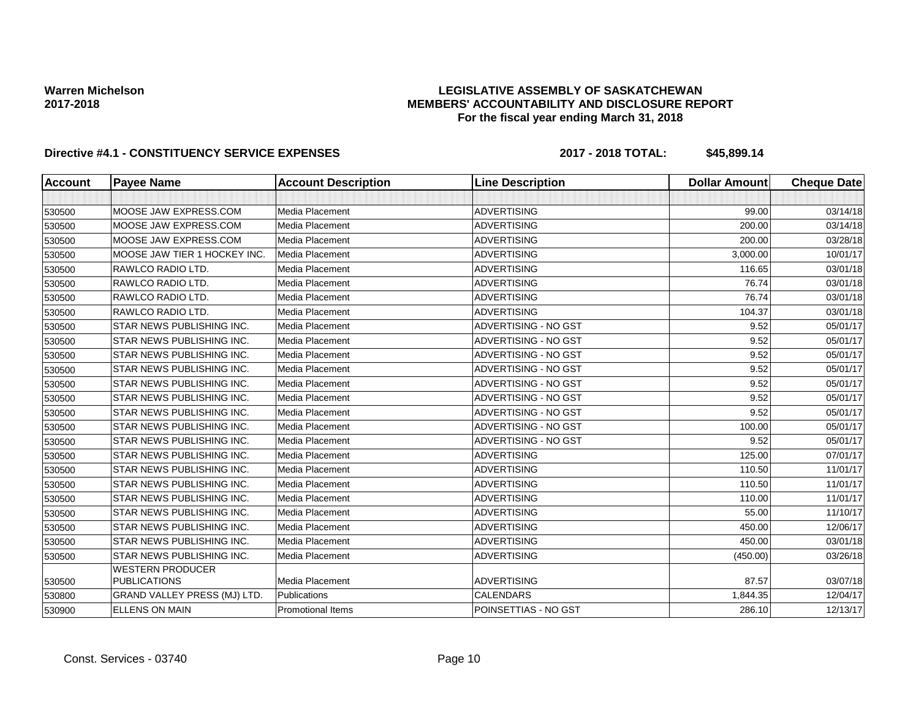### **LEGISLATIVE ASSEMBLY OF SASKATCHEWAN MEMBERS' ACCOUNTABILITY AND DISCLOSURE REPORT For the fiscal year ending March 31, 2018**

| <b>Account</b> | <b>Payee Name</b>                              | <b>Account Description</b> | <b>Line Description</b> | <b>Dollar Amount</b> | <b>Cheque Date</b> |
|----------------|------------------------------------------------|----------------------------|-------------------------|----------------------|--------------------|
|                |                                                |                            |                         |                      |                    |
| 530500         | MOOSE JAW EXPRESS.COM                          | Media Placement            | <b>ADVERTISING</b>      | 99.00                | 03/14/18           |
| 530500         | MOOSE JAW EXPRESS.COM                          | Media Placement            | <b>ADVERTISING</b>      | 200.00               | 03/14/18           |
| 530500         | MOOSE JAW EXPRESS.COM                          | <b>Media Placement</b>     | <b>ADVERTISING</b>      | 200.00               | 03/28/18           |
| 530500         | MOOSE JAW TIER 1 HOCKEY INC.                   | Media Placement            | <b>ADVERTISING</b>      | 3,000.00             | 10/01/17           |
| 530500         | RAWLCO RADIO LTD.                              | Media Placement            | <b>ADVERTISING</b>      | 116.65               | 03/01/18           |
| 530500         | RAWLCO RADIO LTD.                              | Media Placement            | <b>ADVERTISING</b>      | 76.74                | 03/01/18           |
| 530500         | RAWLCO RADIO LTD.                              | Media Placement            | <b>ADVERTISING</b>      | 76.74                | 03/01/18           |
| 530500         | RAWLCO RADIO LTD.                              | Media Placement            | <b>ADVERTISING</b>      | 104.37               | 03/01/18           |
| 530500         | STAR NEWS PUBLISHING INC.                      | Media Placement            | ADVERTISING - NO GST    | 9.52                 | 05/01/17           |
| 530500         | <b>STAR NEWS PUBLISHING INC.</b>               | Media Placement            | ADVERTISING - NO GST    | 9.52                 | 05/01/17           |
| 530500         | <b>STAR NEWS PUBLISHING INC.</b>               | Media Placement            | ADVERTISING - NO GST    | 9.52                 | 05/01/17           |
| 530500         | <b>STAR NEWS PUBLISHING INC.</b>               | Media Placement            | ADVERTISING - NO GST    | 9.52                 | 05/01/17           |
| 530500         | <b>STAR NEWS PUBLISHING INC.</b>               | Media Placement            | ADVERTISING - NO GST    | 9.52                 | 05/01/17           |
| 530500         | <b>STAR NEWS PUBLISHING INC.</b>               | Media Placement            | ADVERTISING - NO GST    | 9.52                 | 05/01/17           |
| 530500         | <b>STAR NEWS PUBLISHING INC.</b>               | Media Placement            | ADVERTISING - NO GST    | 9.52                 | 05/01/17           |
| 530500         | <b>STAR NEWS PUBLISHING INC.</b>               | Media Placement            | ADVERTISING - NO GST    | 100.00               | 05/01/17           |
| 530500         | <b>STAR NEWS PUBLISHING INC.</b>               | Media Placement            | ADVERTISING - NO GST    | 9.52                 | 05/01/17           |
| 530500         | <b>STAR NEWS PUBLISHING INC.</b>               | Media Placement            | <b>ADVERTISING</b>      | 125.00               | 07/01/17           |
| 530500         | STAR NEWS PUBLISHING INC.                      | Media Placement            | <b>ADVERTISING</b>      | 110.50               | 11/01/17           |
| 530500         | <b>STAR NEWS PUBLISHING INC.</b>               | Media Placement            | <b>ADVERTISING</b>      | 110.50               | 11/01/17           |
| 530500         | <b>STAR NEWS PUBLISHING INC.</b>               | Media Placement            | <b>ADVERTISING</b>      | 110.00               | 11/01/17           |
| 530500         | STAR NEWS PUBLISHING INC.                      | Media Placement            | <b>ADVERTISING</b>      | 55.00                | 11/10/17           |
| 530500         | <b>STAR NEWS PUBLISHING INC.</b>               | Media Placement            | <b>ADVERTISING</b>      | 450.00               | 12/06/17           |
| 530500         | STAR NEWS PUBLISHING INC.                      | Media Placement            | <b>ADVERTISING</b>      | 450.00               | 03/01/18           |
| 530500         | STAR NEWS PUBLISHING INC.                      | Media Placement            | <b>ADVERTISING</b>      | (450.00)             | 03/26/18           |
| 530500         | <b>WESTERN PRODUCER</b><br><b>PUBLICATIONS</b> | Media Placement            | <b>ADVERTISING</b>      | 87.57                | 03/07/18           |
| 530800         | GRAND VALLEY PRESS (MJ) LTD.                   | <b>Publications</b>        | <b>CALENDARS</b>        | 1,844.35             | 12/04/17           |
| 530900         | <b>ELLENS ON MAIN</b>                          | <b>Promotional Items</b>   | POINSETTIAS - NO GST    | 286.10               | 12/13/17           |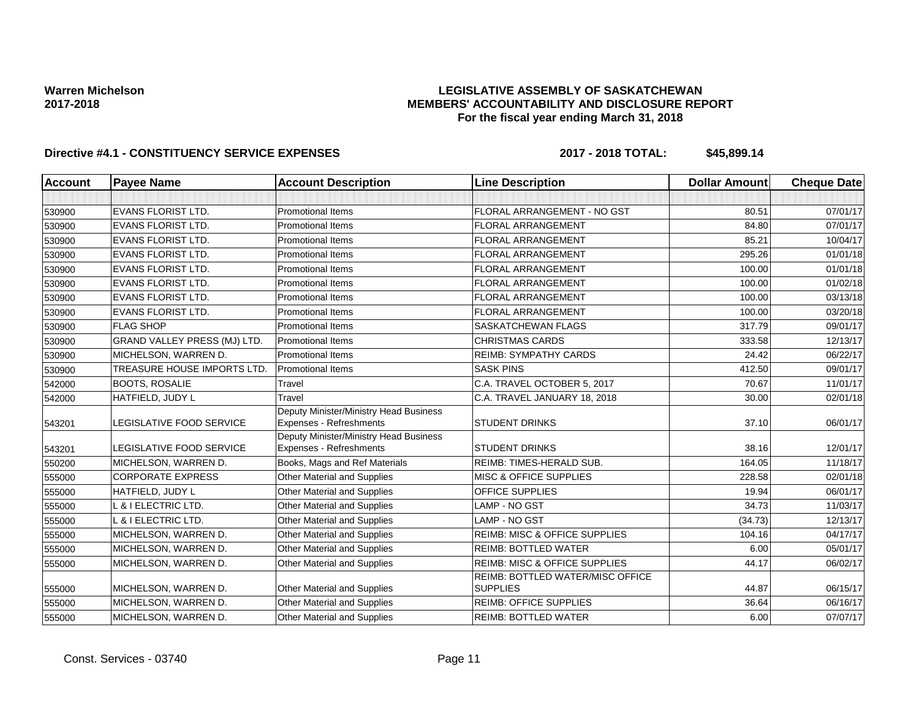### **LEGISLATIVE ASSEMBLY OF SASKATCHEWAN MEMBERS' ACCOUNTABILITY AND DISCLOSURE REPORT For the fiscal year ending March 31, 2018**

| <b>Account</b> | <b>Payee Name</b>                   | <b>Account Description</b>                                        | <b>Line Description</b>                             | <b>Dollar Amount</b> | <b>Cheque Date</b> |
|----------------|-------------------------------------|-------------------------------------------------------------------|-----------------------------------------------------|----------------------|--------------------|
|                |                                     |                                                                   |                                                     |                      |                    |
| 530900         | <b>EVANS FLORIST LTD.</b>           | <b>Promotional Items</b>                                          | FLORAL ARRANGEMENT - NO GST                         | 80.51                | 07/01/17           |
| 530900         | <b>EVANS FLORIST LTD.</b>           | <b>Promotional Items</b>                                          | <b>FLORAL ARRANGEMENT</b>                           | 84.80                | 07/01/17           |
| 530900         | <b>EVANS FLORIST LTD.</b>           | <b>Promotional Items</b>                                          | <b>FLORAL ARRANGEMENT</b>                           | 85.21                | 10/04/17           |
| 530900         | EVANS FLORIST LTD.                  | <b>Promotional Items</b>                                          | <b>FLORAL ARRANGEMENT</b>                           | 295.26               | 01/01/18           |
| 530900         | <b>EVANS FLORIST LTD.</b>           | <b>Promotional Items</b>                                          | <b>FLORAL ARRANGEMENT</b>                           | 100.00               | 01/01/18           |
| 530900         | <b>EVANS FLORIST LTD.</b>           | <b>Promotional Items</b>                                          | <b>FLORAL ARRANGEMENT</b>                           | 100.00               | 01/02/18           |
| 530900         | <b>EVANS FLORIST LTD.</b>           | <b>Promotional Items</b>                                          | <b>FLORAL ARRANGEMENT</b>                           | 100.00               | 03/13/18           |
| 530900         | <b>EVANS FLORIST LTD.</b>           | <b>Promotional Items</b>                                          | <b>FLORAL ARRANGEMENT</b>                           | 100.00               | 03/20/18           |
| 530900         | <b>FLAG SHOP</b>                    | <b>Promotional Items</b>                                          | <b>SASKATCHEWAN FLAGS</b>                           | 317.79               | 09/01/17           |
| 530900         | <b>GRAND VALLEY PRESS (MJ) LTD.</b> | <b>Promotional Items</b>                                          | <b>CHRISTMAS CARDS</b>                              | 333.58               | 12/13/17           |
| 530900         | MICHELSON, WARREN D.                | <b>Promotional Items</b>                                          | <b>REIMB: SYMPATHY CARDS</b>                        | 24.42                | 06/22/17           |
| 530900         | TREASURE HOUSE IMPORTS LTD.         | <b>Promotional Items</b>                                          | <b>SASK PINS</b>                                    | 412.50               | 09/01/17           |
| 542000         | <b>BOOTS, ROSALIE</b>               | Travel                                                            | C.A. TRAVEL OCTOBER 5, 2017                         | 70.67                | 11/01/17           |
| 542000         | HATFIELD, JUDY L                    | Travel                                                            | C.A. TRAVEL JANUARY 18, 2018                        | 30.00                | 02/01/18           |
| 543201         | <b>LEGISLATIVE FOOD SERVICE</b>     | Deputy Minister/Ministry Head Business<br>Expenses - Refreshments | <b>STUDENT DRINKS</b>                               | 37.10                | 06/01/17           |
| 543201         | LEGISLATIVE FOOD SERVICE            | Deputy Minister/Ministry Head Business<br>Expenses - Refreshments | <b>STUDENT DRINKS</b>                               | 38.16                | 12/01/17           |
| 550200         | MICHELSON, WARREN D.                | Books, Mags and Ref Materials                                     | REIMB: TIMES-HERALD SUB.                            | 164.05               | 11/18/17           |
| 555000         | <b>CORPORATE EXPRESS</b>            | Other Material and Supplies                                       | <b>MISC &amp; OFFICE SUPPLIES</b>                   | 228.58               | 02/01/18           |
| 555000         | HATFIELD, JUDY L                    | Other Material and Supplies                                       | OFFICE SUPPLIES                                     | 19.94                | 06/01/17           |
| 555000         | L & I ELECTRIC LTD.                 | Other Material and Supplies                                       | LAMP - NO GST                                       | 34.73                | 11/03/17           |
| 555000         | L & I ELECTRIC LTD.                 | Other Material and Supplies                                       | LAMP - NO GST                                       | (34.73)              | 12/13/17           |
| 555000         | MICHELSON, WARREN D.                | Other Material and Supplies                                       | <b>REIMB: MISC &amp; OFFICE SUPPLIES</b>            | 104.16               | 04/17/17           |
| 555000         | MICHELSON, WARREN D.                | Other Material and Supplies                                       | <b>REIMB: BOTTLED WATER</b>                         | 6.00                 | 05/01/17           |
| 555000         | MICHELSON, WARREN D.                | Other Material and Supplies                                       | REIMB: MISC & OFFICE SUPPLIES                       | 44.17                | 06/02/17           |
| 555000         | MICHELSON, WARREN D.                | Other Material and Supplies                                       | REIMB: BOTTLED WATER/MISC OFFICE<br><b>SUPPLIES</b> | 44.87                | 06/15/17           |
| 555000         | MICHELSON, WARREN D.                | Other Material and Supplies                                       | <b>REIMB: OFFICE SUPPLIES</b>                       | 36.64                | 06/16/17           |
| 555000         | MICHELSON, WARREN D.                | Other Material and Supplies                                       | <b>REIMB: BOTTLED WATER</b>                         | 6.00                 | 07/07/17           |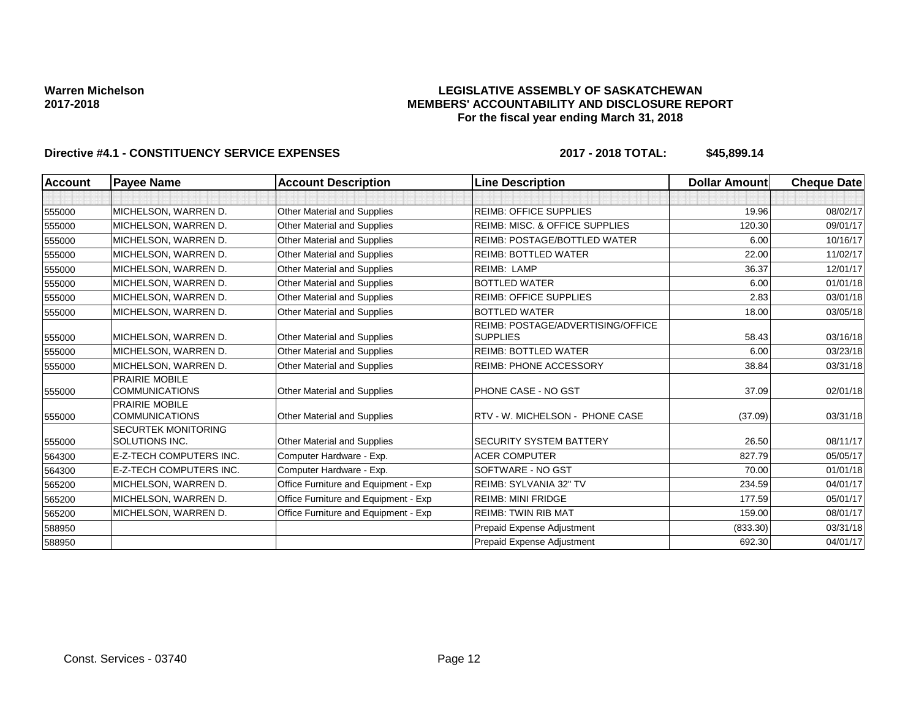### **LEGISLATIVE ASSEMBLY OF SASKATCHEWAN MEMBERS' ACCOUNTABILITY AND DISCLOSURE REPORT For the fiscal year ending March 31, 2018**

| <b>Account</b> | <b>Payee Name</b>                              | <b>Account Description</b>           | <b>Line Description</b>                   | <b>Dollar Amount</b> | <b>Cheque Date</b> |
|----------------|------------------------------------------------|--------------------------------------|-------------------------------------------|----------------------|--------------------|
|                |                                                |                                      |                                           |                      |                    |
| 555000         | MICHELSON, WARREN D.                           | <b>Other Material and Supplies</b>   | <b>REIMB: OFFICE SUPPLIES</b>             | 19.96                | 08/02/17           |
| 555000         | MICHELSON, WARREN D.                           | Other Material and Supplies          | <b>REIMB: MISC. &amp; OFFICE SUPPLIES</b> | 120.30               | 09/01/17           |
| 555000         | MICHELSON, WARREN D.                           | <b>Other Material and Supplies</b>   | <b>REIMB: POSTAGE/BOTTLED WATER</b>       | 6.00                 | 10/16/17           |
| 555000         | MICHELSON, WARREN D.                           | Other Material and Supplies          | <b>REIMB: BOTTLED WATER</b>               | 22.00                | 11/02/17           |
| 555000         | MICHELSON, WARREN D.                           | <b>Other Material and Supplies</b>   | <b>REIMB: LAMP</b>                        | 36.37                | 12/01/17           |
| 555000         | MICHELSON, WARREN D.                           | Other Material and Supplies          | <b>BOTTLED WATER</b>                      | 6.00                 | 01/01/18           |
| 555000         | MICHELSON, WARREN D.                           | Other Material and Supplies          | <b>REIMB: OFFICE SUPPLIES</b>             | 2.83                 | 03/01/18           |
| 555000         | MICHELSON, WARREN D.                           | Other Material and Supplies          | <b>BOTTLED WATER</b>                      | 18.00                | 03/05/18           |
|                |                                                |                                      | REIMB: POSTAGE/ADVERTISING/OFFICE         |                      |                    |
| 555000         | MICHELSON, WARREN D.                           | <b>Other Material and Supplies</b>   | <b>SUPPLIES</b>                           | 58.43                | 03/16/18           |
| 555000         | MICHELSON, WARREN D.                           | <b>Other Material and Supplies</b>   | <b>REIMB: BOTTLED WATER</b>               | 6.00                 | 03/23/18           |
| 555000         | MICHELSON, WARREN D.                           | Other Material and Supplies          | <b>REIMB: PHONE ACCESSORY</b>             | 38.84                | 03/31/18           |
| 555000         | PRAIRIE MOBILE<br><b>COMMUNICATIONS</b>        | <b>Other Material and Supplies</b>   | PHONE CASE - NO GST                       | 37.09                | 02/01/18           |
| 555000         | <b>PRAIRIE MOBILE</b><br><b>COMMUNICATIONS</b> | <b>Other Material and Supplies</b>   | RTV - W. MICHELSON - PHONE CASE           | (37.09)              | 03/31/18           |
| 555000         | <b>SECURTEK MONITORING</b><br>SOLUTIONS INC.   | Other Material and Supplies          | <b>SECURITY SYSTEM BATTERY</b>            | 26.50                | 08/11/17           |
| 564300         | E-Z-TECH COMPUTERS INC.                        | Computer Hardware - Exp.             | <b>ACER COMPUTER</b>                      | 827.79               | 05/05/17           |
| 564300         | E-Z-TECH COMPUTERS INC.                        | Computer Hardware - Exp.             | SOFTWARE - NO GST                         | 70.00                | 01/01/18           |
| 565200         | MICHELSON, WARREN D.                           | Office Furniture and Equipment - Exp | REIMB: SYLVANIA 32" TV                    | 234.59               | 04/01/17           |
| 565200         | MICHELSON, WARREN D.                           | Office Furniture and Equipment - Exp | <b>REIMB: MINI FRIDGE</b>                 | 177.59               | 05/01/17           |
| 565200         | MICHELSON, WARREN D.                           | Office Furniture and Equipment - Exp | <b>REIMB: TWIN RIB MAT</b>                | 159.00               | 08/01/17           |
| 588950         |                                                |                                      | Prepaid Expense Adjustment                | (833.30)             | 03/31/18           |
| 588950         |                                                |                                      | Prepaid Expense Adjustment                | 692.30               | 04/01/17           |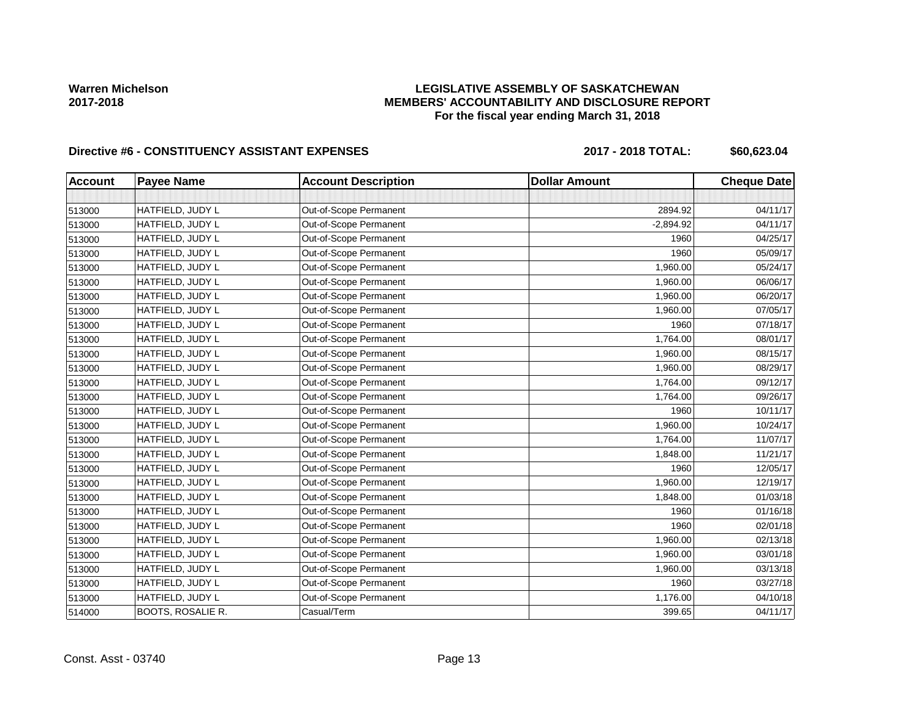### **LEGISLATIVE ASSEMBLY OF SASKATCHEWAN MEMBERS' ACCOUNTABILITY AND DISCLOSURE REPORT For the fiscal year ending March 31, 2018**

# Directive #6 - CONSTITUENCY ASSISTANT EXPENSES 2017 - 2018 TOTAL: \$60,623.04

| <b>Account</b> | <b>Payee Name</b>        | <b>Account Description</b> | <b>Dollar Amount</b> | <b>Cheque Date</b> |
|----------------|--------------------------|----------------------------|----------------------|--------------------|
|                |                          |                            |                      |                    |
| 513000         | HATFIELD, JUDY L         | Out-of-Scope Permanent     | 2894.92              | 04/11/17           |
| 513000         | HATFIELD, JUDY L         | Out-of-Scope Permanent     | $-2,894.92$          | 04/11/17           |
| 513000         | HATFIELD, JUDY L         | Out-of-Scope Permanent     | 1960                 | 04/25/17           |
| 513000         | HATFIELD, JUDY L         | Out-of-Scope Permanent     | 1960                 | 05/09/17           |
| 513000         | HATFIELD, JUDY L         | Out-of-Scope Permanent     | 1,960.00             | 05/24/17           |
| 513000         | HATFIELD, JUDY L         | Out-of-Scope Permanent     | 1,960.00             | 06/06/17           |
| 513000         | HATFIELD, JUDY L         | Out-of-Scope Permanent     | 1,960.00             | 06/20/17           |
| 513000         | HATFIELD, JUDY L         | Out-of-Scope Permanent     | 1,960.00             | 07/05/17           |
| 513000         | HATFIELD, JUDY L         | Out-of-Scope Permanent     | 1960                 | 07/18/17           |
| 513000         | HATFIELD, JUDY L         | Out-of-Scope Permanent     | 1,764.00             | 08/01/17           |
| 513000         | HATFIELD, JUDY L         | Out-of-Scope Permanent     | 1,960.00             | 08/15/17           |
| 513000         | HATFIELD, JUDY L         | Out-of-Scope Permanent     | 1,960.00             | 08/29/17           |
| 513000         | HATFIELD, JUDY L         | Out-of-Scope Permanent     | 1,764.00             | 09/12/17           |
| 513000         | HATFIELD, JUDY L         | Out-of-Scope Permanent     | 1,764.00             | 09/26/17           |
| 513000         | HATFIELD, JUDY L         | Out-of-Scope Permanent     | 1960                 | 10/11/17           |
| 513000         | HATFIELD, JUDY L         | Out-of-Scope Permanent     | 1,960.00             | 10/24/17           |
| 513000         | HATFIELD, JUDY L         | Out-of-Scope Permanent     | 1,764.00             | 11/07/17           |
| 513000         | HATFIELD, JUDY L         | Out-of-Scope Permanent     | 1,848.00             | 11/21/17           |
| 513000         | HATFIELD, JUDY L         | Out-of-Scope Permanent     | 1960                 | 12/05/17           |
| 513000         | HATFIELD, JUDY L         | Out-of-Scope Permanent     | 1,960.00             | 12/19/17           |
| 513000         | HATFIELD, JUDY L         | Out-of-Scope Permanent     | 1,848.00             | 01/03/18           |
| 513000         | HATFIELD, JUDY L         | Out-of-Scope Permanent     | 1960                 | 01/16/18           |
| 513000         | HATFIELD, JUDY L         | Out-of-Scope Permanent     | 1960                 | 02/01/18           |
| 513000         | HATFIELD, JUDY L         | Out-of-Scope Permanent     | 1,960.00             | 02/13/18           |
| 513000         | HATFIELD, JUDY L         | Out-of-Scope Permanent     | 1,960.00             | 03/01/18           |
| 513000         | HATFIELD, JUDY L         | Out-of-Scope Permanent     | 1,960.00             | 03/13/18           |
| 513000         | HATFIELD, JUDY L         | Out-of-Scope Permanent     | 1960                 | 03/27/18           |
| 513000         | HATFIELD, JUDY L         | Out-of-Scope Permanent     | 1,176.00             | 04/10/18           |
| 514000         | <b>BOOTS, ROSALIE R.</b> | Casual/Term                | 399.65               | 04/11/17           |